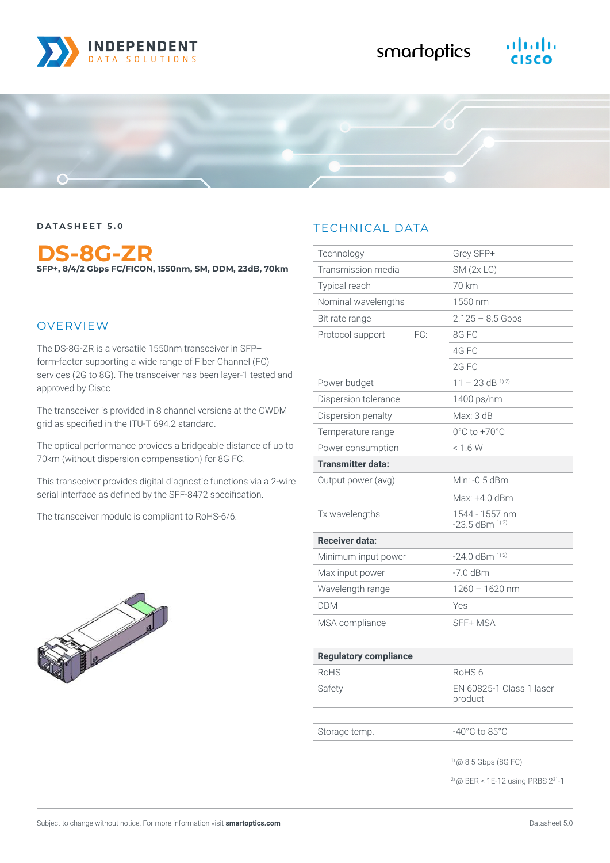

### **DATASHEET 5.0**

**DS-8G-ZR SFP+, 8/4/2 Gbps FC/FICON, 1550nm, SM, DDM, 23dB, 70km**

## OVERVIEW

The DS-8G-ZR is a versatile 1550nm transceiver in SFP+ form-factor supporting a wide range of Fiber Channel (FC) services (2G to 8G). The transceiver has been layer-1 tested and approved by Cisco.

The transceiver is provided in 8 channel versions at the CWDM grid as specified in the ITU-T 694.2 standard.

The optical performance provides a bridgeable distance of up to 70km (without dispersion compensation) for 8G FC.

This transceiver provides digital diagnostic functions via a 2-wire serial interface as defined by the SFF-8472 specification.

The transceiver module is compliant to RoHS-6/6.



# TECHNICAL DATA

| Technology                   | Grey SFP+                              |
|------------------------------|----------------------------------------|
| Transmission media           | SM(2x LC)                              |
| Typical reach                | 70 km                                  |
| Nominal wavelengths          | 1550 nm                                |
| Bit rate range               | $2.125 - 8.5$ Gbps                     |
| Protocol support<br>FC:      | 8G FC                                  |
|                              | 4G FC                                  |
|                              | 2G FC                                  |
| Power budget                 | $11 - 23$ dB <sup>1) 2)</sup>          |
| Dispersion tolerance         | 1400 ps/nm                             |
| Dispersion penalty           | Max: 3 dB                              |
| Temperature range            | $0^{\circ}$ C to $+70^{\circ}$ C       |
| Power consumption            | < 16W                                  |
| <b>Transmitter data:</b>     |                                        |
| Output power (avg):          | Min: -0.5 dBm                          |
|                              | Max: +4.0 dBm                          |
| Tx wavelengths               | 1544 - 1557 nm<br>$-23.5$ dBm $^{1/2}$ |
| <b>Receiver data:</b>        |                                        |
| Minimum input power          | $-24.0$ dBm $^{1/2}$                   |
| Max input power              | $-7.0$ dBm                             |
| Wavelength range             | $1260 - 1620$ nm                       |
| <b>DDM</b>                   | Yes                                    |
| MSA compliance               | SFF+ MSA                               |
|                              |                                        |
| <b>Regulatory compliance</b> |                                        |
| RoHS                         | RoHS <sub>6</sub>                      |
| Safety                       | EN 60825-1 Class 1 laser<br>product    |
|                              |                                        |
| Storage temp.                | $-40^{\circ}$ C to 85 $^{\circ}$ C     |
|                              | $(90 \ 8.5 \text{ Gbps} \ (8G \ FC))$  |

2) @ BER < 1E-12 using PRBS 231-1